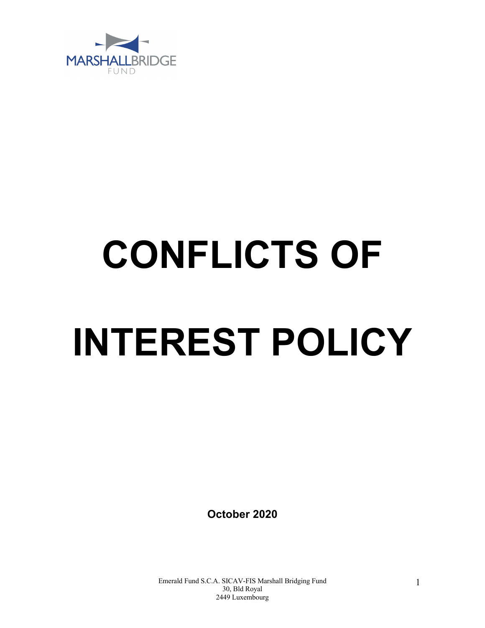

# **CONFLICTS OF INTEREST POLICY**

**October 2020**

Emerald Fund S.C.A. SICAV-FIS Marshall Bridging Fund 30, Bld Royal 2449 Luxembourg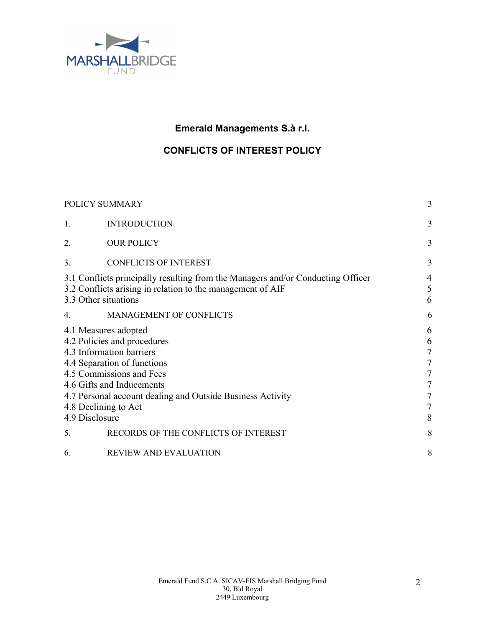

# **Emerald Managements S.à r.l.**

## **CONFLICTS OF INTEREST POLICY**

| POLICY SUMMARY                                                                                                                                                        |                                                                                                                                                                                                                                                                                                       | 3                                                                                                                            |
|-----------------------------------------------------------------------------------------------------------------------------------------------------------------------|-------------------------------------------------------------------------------------------------------------------------------------------------------------------------------------------------------------------------------------------------------------------------------------------------------|------------------------------------------------------------------------------------------------------------------------------|
| 1.                                                                                                                                                                    | <b>INTRODUCTION</b>                                                                                                                                                                                                                                                                                   | 3                                                                                                                            |
| 2.                                                                                                                                                                    | <b>OUR POLICY</b>                                                                                                                                                                                                                                                                                     | 3                                                                                                                            |
| 3.                                                                                                                                                                    | <b>CONFLICTS OF INTEREST</b>                                                                                                                                                                                                                                                                          | 3                                                                                                                            |
| 3.1 Conflicts principally resulting from the Managers and/or Conducting Officer<br>3.2 Conflicts arising in relation to the management of AIF<br>3.3 Other situations |                                                                                                                                                                                                                                                                                                       | $\overline{4}$<br>5<br>6                                                                                                     |
| 4.                                                                                                                                                                    | MANAGEMENT OF CONFLICTS                                                                                                                                                                                                                                                                               | 6                                                                                                                            |
| 4.9 Disclosure<br>5.                                                                                                                                                  | 4.1 Measures adopted<br>4.2 Policies and procedures<br>4.3 Information barriers<br>4.4 Separation of functions<br>4.5 Commissions and Fees<br>4.6 Gifts and Inducements<br>4.7 Personal account dealing and Outside Business Activity<br>4.8 Declining to Act<br>RECORDS OF THE CONFLICTS OF INTEREST | 6<br>6<br>$\overline{7}$<br>$\overline{7}$<br>$\overline{7}$<br>$\overline{7}$<br>$\overline{7}$<br>$\overline{7}$<br>8<br>8 |
| 6.                                                                                                                                                                    | REVIEW AND EVALUATION                                                                                                                                                                                                                                                                                 | 8                                                                                                                            |
|                                                                                                                                                                       |                                                                                                                                                                                                                                                                                                       |                                                                                                                              |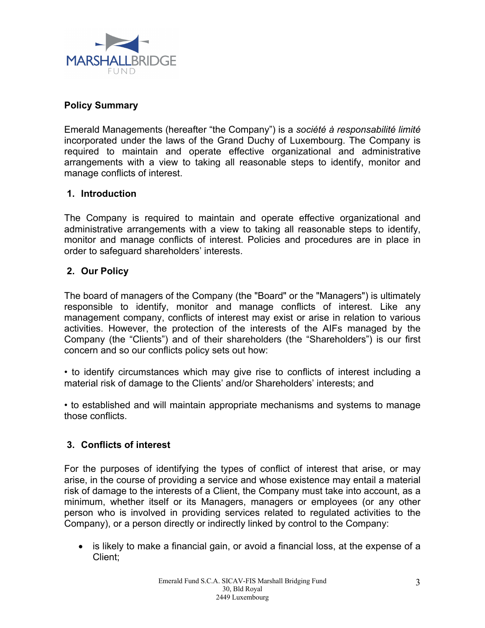

### **Policy Summary**

Emerald Managements (hereafter "the Company") is a *société à responsabilité limité* incorporated under the laws of the Grand Duchy of Luxembourg. The Company is required to maintain and operate effective organizational and administrative arrangements with a view to taking all reasonable steps to identify, monitor and manage conflicts of interest.

### **1. Introduction**

The Company is required to maintain and operate effective organizational and administrative arrangements with a view to taking all reasonable steps to identify, monitor and manage conflicts of interest. Policies and procedures are in place in order to safeguard shareholders' interests.

### **2. Our Policy**

The board of managers of the Company (the "Board" or the "Managers") is ultimately responsible to identify, monitor and manage conflicts of interest. Like any management company, conflicts of interest may exist or arise in relation to various activities. However, the protection of the interests of the AIFs managed by the Company (the "Clients") and of their shareholders (the "Shareholders") is our first concern and so our conflicts policy sets out how:

• to identify circumstances which may give rise to conflicts of interest including a material risk of damage to the Clients' and/or Shareholders' interests; and

• to established and will maintain appropriate mechanisms and systems to manage those conflicts.

### **3. Conflicts of interest**

For the purposes of identifying the types of conflict of interest that arise, or may arise, in the course of providing a service and whose existence may entail a material risk of damage to the interests of a Client, the Company must take into account, as a minimum, whether itself or its Managers, managers or employees (or any other person who is involved in providing services related to regulated activities to the Company), or a person directly or indirectly linked by control to the Company:

• is likely to make a financial gain, or avoid a financial loss, at the expense of a Client;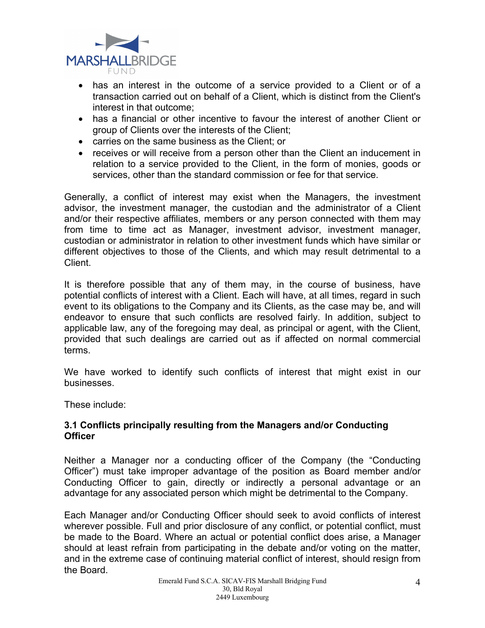

- has an interest in the outcome of a service provided to a Client or of a transaction carried out on behalf of a Client, which is distinct from the Client's interest in that outcome;
- has a financial or other incentive to favour the interest of another Client or group of Clients over the interests of the Client;
- carries on the same business as the Client; or
- receives or will receive from a person other than the Client an inducement in relation to a service provided to the Client, in the form of monies, goods or services, other than the standard commission or fee for that service.

Generally, a conflict of interest may exist when the Managers, the investment advisor, the investment manager, the custodian and the administrator of a Client and/or their respective affiliates, members or any person connected with them may from time to time act as Manager, investment advisor, investment manager, custodian or administrator in relation to other investment funds which have similar or different objectives to those of the Clients, and which may result detrimental to a Client.

It is therefore possible that any of them may, in the course of business, have potential conflicts of interest with a Client. Each will have, at all times, regard in such event to its obligations to the Company and its Clients, as the case may be, and will endeavor to ensure that such conflicts are resolved fairly. In addition, subject to applicable law, any of the foregoing may deal, as principal or agent, with the Client, provided that such dealings are carried out as if affected on normal commercial terms.

We have worked to identify such conflicts of interest that might exist in our businesses.

These include:

### **3.1 Conflicts principally resulting from the Managers and/or Conducting Officer**

Neither a Manager nor a conducting officer of the Company (the "Conducting Officer") must take improper advantage of the position as Board member and/or Conducting Officer to gain, directly or indirectly a personal advantage or an advantage for any associated person which might be detrimental to the Company.

Each Manager and/or Conducting Officer should seek to avoid conflicts of interest wherever possible. Full and prior disclosure of any conflict, or potential conflict, must be made to the Board. Where an actual or potential conflict does arise, a Manager should at least refrain from participating in the debate and/or voting on the matter, and in the extreme case of continuing material conflict of interest, should resign from the Board.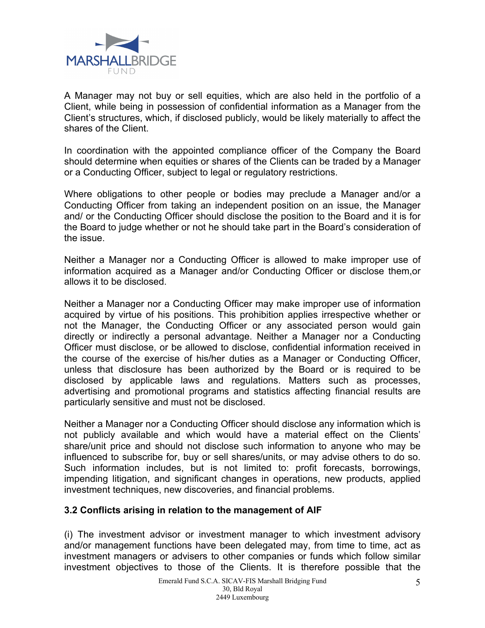

A Manager may not buy or sell equities, which are also held in the portfolio of a Client, while being in possession of confidential information as a Manager from the Client's structures, which, if disclosed publicly, would be likely materially to affect the shares of the Client.

In coordination with the appointed compliance officer of the Company the Board should determine when equities or shares of the Clients can be traded by a Manager or a Conducting Officer, subject to legal or regulatory restrictions.

Where obligations to other people or bodies may preclude a Manager and/or a Conducting Officer from taking an independent position on an issue, the Manager and/ or the Conducting Officer should disclose the position to the Board and it is for the Board to judge whether or not he should take part in the Board's consideration of the issue.

Neither a Manager nor a Conducting Officer is allowed to make improper use of information acquired as a Manager and/or Conducting Officer or disclose them,or allows it to be disclosed.

Neither a Manager nor a Conducting Officer may make improper use of information acquired by virtue of his positions. This prohibition applies irrespective whether or not the Manager, the Conducting Officer or any associated person would gain directly or indirectly a personal advantage. Neither a Manager nor a Conducting Officer must disclose, or be allowed to disclose, confidential information received in the course of the exercise of his/her duties as a Manager or Conducting Officer, unless that disclosure has been authorized by the Board or is required to be disclosed by applicable laws and regulations. Matters such as processes, advertising and promotional programs and statistics affecting financial results are particularly sensitive and must not be disclosed.

Neither a Manager nor a Conducting Officer should disclose any information which is not publicly available and which would have a material effect on the Clients' share/unit price and should not disclose such information to anyone who may be influenced to subscribe for, buy or sell shares/units, or may advise others to do so. Such information includes, but is not limited to: profit forecasts, borrowings, impending litigation, and significant changes in operations, new products, applied investment techniques, new discoveries, and financial problems.

### **3.2 Conflicts arising in relation to the management of AIF**

(i) The investment advisor or investment manager to which investment advisory and/or management functions have been delegated may, from time to time, act as investment managers or advisers to other companies or funds which follow similar investment objectives to those of the Clients. It is therefore possible that the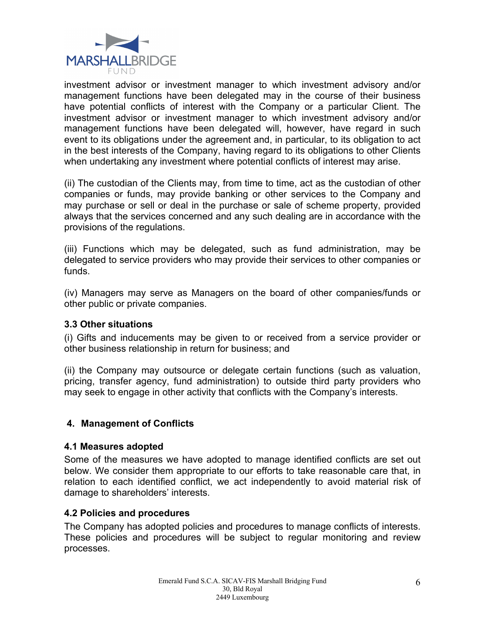

investment advisor or investment manager to which investment advisory and/or management functions have been delegated may in the course of their business have potential conflicts of interest with the Company or a particular Client. The investment advisor or investment manager to which investment advisory and/or management functions have been delegated will, however, have regard in such event to its obligations under the agreement and, in particular, to its obligation to act in the best interests of the Company, having regard to its obligations to other Clients when undertaking any investment where potential conflicts of interest may arise.

(ii) The custodian of the Clients may, from time to time, act as the custodian of other companies or funds, may provide banking or other services to the Company and may purchase or sell or deal in the purchase or sale of scheme property, provided always that the services concerned and any such dealing are in accordance with the provisions of the regulations.

(iii) Functions which may be delegated, such as fund administration, may be delegated to service providers who may provide their services to other companies or funds.

(iv) Managers may serve as Managers on the board of other companies/funds or other public or private companies.

### **3.3 Other situations**

(i) Gifts and inducements may be given to or received from a service provider or other business relationship in return for business; and

(ii) the Company may outsource or delegate certain functions (such as valuation, pricing, transfer agency, fund administration) to outside third party providers who may seek to engage in other activity that conflicts with the Company's interests.

### **4. Management of Conflicts**

### **4.1 Measures adopted**

Some of the measures we have adopted to manage identified conflicts are set out below. We consider them appropriate to our efforts to take reasonable care that, in relation to each identified conflict, we act independently to avoid material risk of damage to shareholders' interests.

### **4.2 Policies and procedures**

The Company has adopted policies and procedures to manage conflicts of interests. These policies and procedures will be subject to regular monitoring and review processes.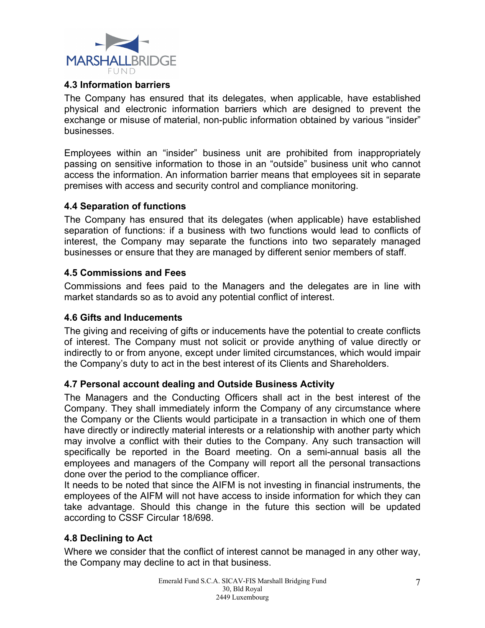

### **4.3 Information barriers**

The Company has ensured that its delegates, when applicable, have established physical and electronic information barriers which are designed to prevent the exchange or misuse of material, non-public information obtained by various "insider" businesses.

Employees within an "insider" business unit are prohibited from inappropriately passing on sensitive information to those in an "outside" business unit who cannot access the information. An information barrier means that employees sit in separate premises with access and security control and compliance monitoring.

### **4.4 Separation of functions**

The Company has ensured that its delegates (when applicable) have established separation of functions: if a business with two functions would lead to conflicts of interest, the Company may separate the functions into two separately managed businesses or ensure that they are managed by different senior members of staff.

### **4.5 Commissions and Fees**

Commissions and fees paid to the Managers and the delegates are in line with market standards so as to avoid any potential conflict of interest.

### **4.6 Gifts and Inducements**

The giving and receiving of gifts or inducements have the potential to create conflicts of interest. The Company must not solicit or provide anything of value directly or indirectly to or from anyone, except under limited circumstances, which would impair the Company's duty to act in the best interest of its Clients and Shareholders.

### **4.7 Personal account dealing and Outside Business Activity**

The Managers and the Conducting Officers shall act in the best interest of the Company. They shall immediately inform the Company of any circumstance where the Company or the Clients would participate in a transaction in which one of them have directly or indirectly material interests or a relationship with another party which may involve a conflict with their duties to the Company. Any such transaction will specifically be reported in the Board meeting. On a semi-annual basis all the employees and managers of the Company will report all the personal transactions done over the period to the compliance officer.

It needs to be noted that since the AIFM is not investing in financial instruments, the employees of the AIFM will not have access to inside information for which they can take advantage. Should this change in the future this section will be updated according to CSSF Circular 18/698.

### **4.8 Declining to Act**

Where we consider that the conflict of interest cannot be managed in any other way, the Company may decline to act in that business.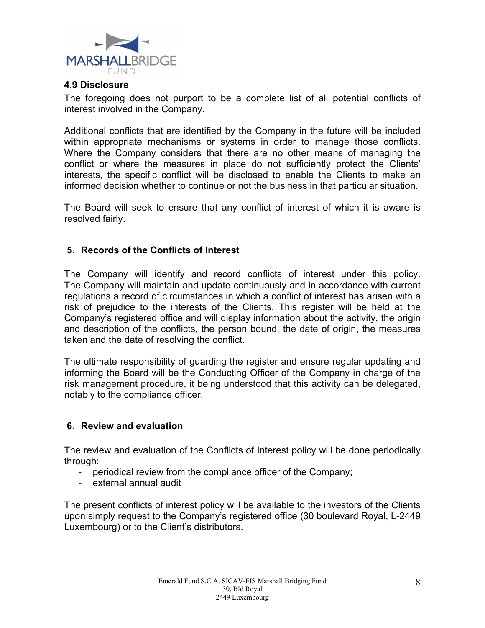

### **4.9 Disclosure**

The foregoing does not purport to be a complete list of all potential conflicts of interest involved in the Company.

Additional conflicts that are identified by the Company in the future will be included within appropriate mechanisms or systems in order to manage those conflicts. Where the Company considers that there are no other means of managing the conflict or where the measures in place do not sufficiently protect the Clients' interests, the specific conflict will be disclosed to enable the Clients to make an informed decision whether to continue or not the business in that particular situation.

The Board will seek to ensure that any conflict of interest of which it is aware is resolved fairly.

### **5. Records of the Conflicts of Interest**

The Company will identify and record conflicts of interest under this policy. The Company will maintain and update continuously and in accordance with current regulations a record of circumstances in which a conflict of interest has arisen with a risk of prejudice to the interests of the Clients. This register will be held at the Company's registered office and will display information about the activity, the origin and description of the conflicts, the person bound, the date of origin, the measures taken and the date of resolving the conflict.

The ultimate responsibility of guarding the register and ensure regular updating and informing the Board will be the Conducting Officer of the Company in charge of the risk management procedure, it being understood that this activity can be delegated, notably to the compliance officer.

### **6. Review and evaluation**

The review and evaluation of the Conflicts of Interest policy will be done periodically through:

- periodical review from the compliance officer of the Company;
- external annual audit

The present conflicts of interest policy will be available to the investors of the Clients upon simply request to the Company's registered office (30 boulevard Royal, L-2449 Luxembourg) or to the Client's distributors.